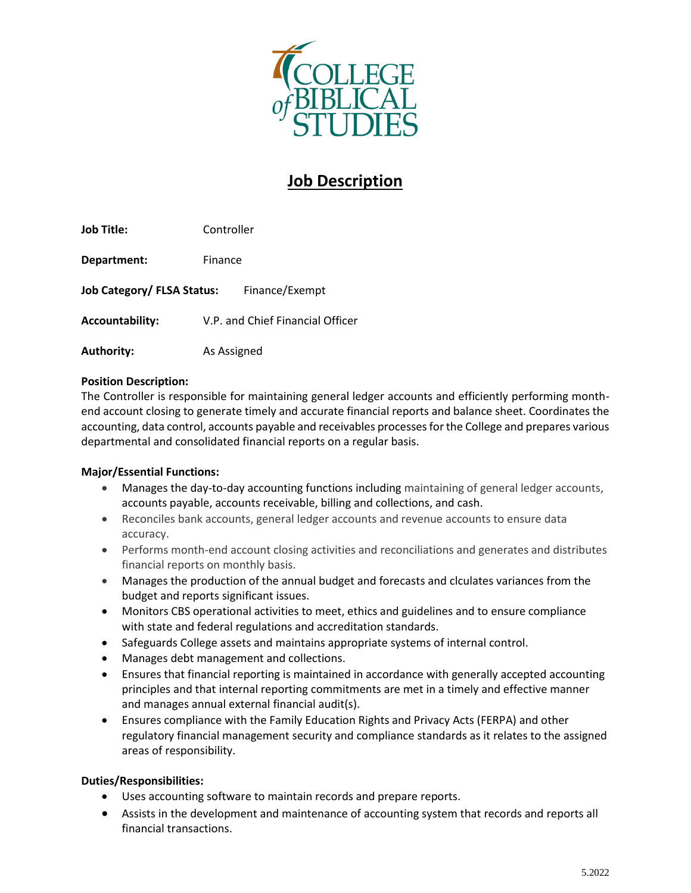

# **Job Description**

**Job Title:** Controller **Department:** Finance Job Category/ FLSA Status: Finance/Exempt **Accountability:** V.P. and Chief Financial Officer **Authority:** As Assigned

## **Position Description:**

The Controller is responsible for maintaining general ledger accounts and efficiently performing monthend account closing to generate timely and accurate financial reports and balance sheet. Coordinates the accounting, data control, accounts payable and receivables processes for the College and prepares various departmental and consolidated financial reports on a regular basis.

## **Major/Essential Functions:**

- Manages the day-to-day accounting functions including maintaining of general ledger accounts, accounts payable, accounts receivable, billing and collections, and cash.
- Reconciles bank accounts, general ledger accounts and revenue accounts to ensure data accuracy.
- Performs month-end account closing activities and reconciliations and generates and distributes financial reports on monthly basis.
- Manages the production of the annual budget and forecasts and clculates variances from the budget and reports significant issues.
- Monitors CBS operational activities to meet, ethics and guidelines and to ensure compliance with state and federal regulations and accreditation standards.
- Safeguards College assets and maintains appropriate systems of internal control.
- Manages debt management and collections.
- Ensures that financial reporting is maintained in accordance with generally accepted accounting principles and that internal reporting commitments are met in a timely and effective manner and manages annual external financial audit(s).
- Ensures compliance with the Family Education Rights and Privacy Acts (FERPA) and other regulatory financial management security and compliance standards as it relates to the assigned areas of responsibility.

## **Duties/Responsibilities:**

- Uses accounting software to maintain records and prepare reports.
- Assists in the development and maintenance of accounting system that records and reports all financial transactions.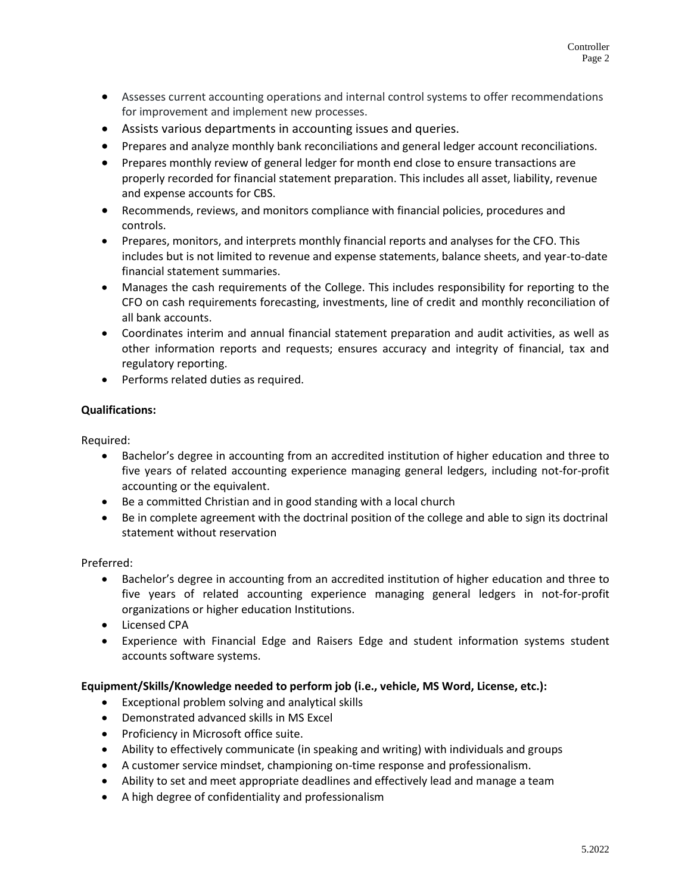- Assesses current accounting operations and internal control systems to offer recommendations for improvement and implement new processes.
- Assists various departments in accounting issues and queries.
- Prepares and analyze monthly bank reconciliations and general ledger account reconciliations.
- Prepares monthly review of general ledger for month end close to ensure transactions are properly recorded for financial statement preparation. This includes all asset, liability, revenue and expense accounts for CBS.
- Recommends, reviews, and monitors compliance with financial policies, procedures and controls.
- Prepares, monitors, and interprets monthly financial reports and analyses for the CFO. This includes but is not limited to revenue and expense statements, balance sheets, and year-to-date financial statement summaries.
- Manages the cash requirements of the College. This includes responsibility for reporting to the CFO on cash requirements forecasting, investments, line of credit and monthly reconciliation of all bank accounts.
- Coordinates interim and annual financial statement preparation and audit activities, as well as other information reports and requests; ensures accuracy and integrity of financial, tax and regulatory reporting.
- Performs related duties as required.

## **Qualifications:**

Required:

- Bachelor's degree in accounting from an accredited institution of higher education and three to five years of related accounting experience managing general ledgers, including not-for-profit accounting or the equivalent.
- Be a committed Christian and in good standing with a local church
- Be in complete agreement with the doctrinal position of the college and able to sign its doctrinal statement without reservation

Preferred:

- Bachelor's degree in accounting from an accredited institution of higher education and three to five years of related accounting experience managing general ledgers in not-for-profit organizations or higher education Institutions.
- Licensed CPA
- Experience with Financial Edge and Raisers Edge and student information systems student accounts software systems.

## **Equipment/Skills/Knowledge needed to perform job (i.e., vehicle, MS Word, License, etc.):**

- Exceptional problem solving and analytical skills
- Demonstrated advanced skills in MS Excel
- Proficiency in Microsoft office suite.
- Ability to effectively communicate (in speaking and writing) with individuals and groups
- A customer service mindset, championing on-time response and professionalism.
- Ability to set and meet appropriate deadlines and effectively lead and manage a team
- A high degree of confidentiality and professionalism